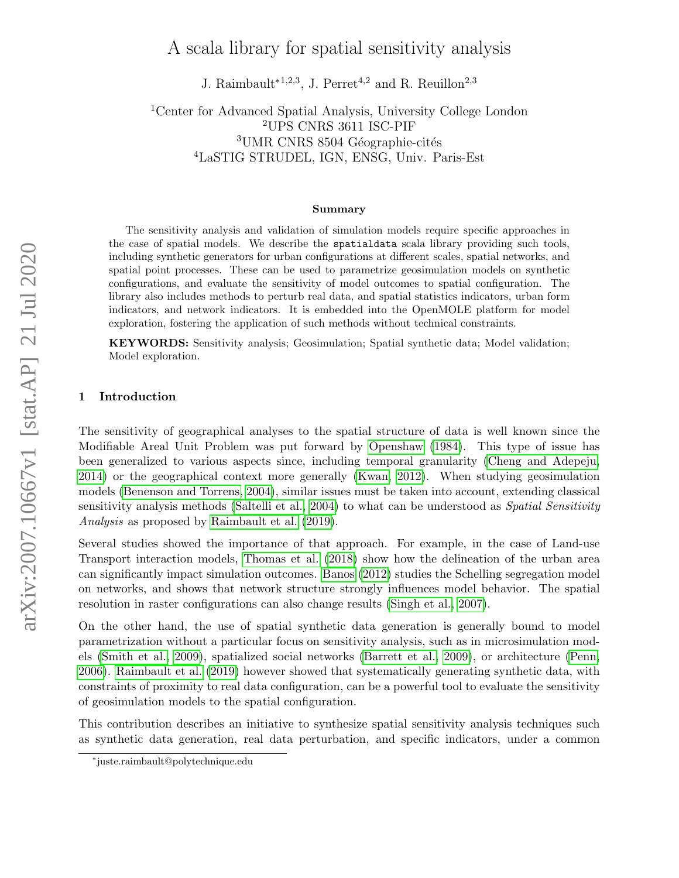# arXiv:2007.10667v1 [stat.AP] 21 Jul 2020 arXiv:2007.10667v1 [stat.AP] 21 Jul 2020

# A scala library for spatial sensitivity analysis

J. Raimbault<sup>\*1,2,3</sup>, J. Perret<sup>4,2</sup> and R. Reuillon<sup>2,3</sup>

Center for Advanced Spatial Analysis, University College London UPS CNRS 3611 ISC-PIF UMR CNRS 8504 Géographie-cités LaSTIG STRUDEL, IGN, ENSG, Univ. Paris-Est

### Summary

The sensitivity analysis and validation of simulation models require specific approaches in the case of spatial models. We describe the spatialdata scala library providing such tools, including synthetic generators for urban configurations at different scales, spatial networks, and spatial point processes. These can be used to parametrize geosimulation models on synthetic configurations, and evaluate the sensitivity of model outcomes to spatial configuration. The library also includes methods to perturb real data, and spatial statistics indicators, urban form indicators, and network indicators. It is embedded into the OpenMOLE platform for model exploration, fostering the application of such methods without technical constraints.

KEYWORDS: Sensitivity analysis; Geosimulation; Spatial synthetic data; Model validation; Model exploration.

### 1 Introduction

The sensitivity of geographical analyses to the spatial structure of data is well known since the Modifiable Areal Unit Problem was put forward by [Openshaw](#page-3-0) [\(1984\)](#page-3-0). This type of issue has been generalized to various aspects since, including temporal granularity [\(Cheng and Adepeju,](#page-3-1) [2014\)](#page-3-1) or the geographical context more generally [\(Kwan, 2012\)](#page-3-2). When studying geosimulation models [\(Benenson and Torrens, 2004\)](#page-3-3), similar issues must be taken into account, extending classical sensitivity analysis methods [\(Saltelli et al., 2004\)](#page-4-0) to what can be understood as Spatial Sensitivity Analysis as proposed by [Raimbault et al.](#page-4-1) [\(2019\)](#page-4-1).

Several studies showed the importance of that approach. For example, in the case of Land-use Transport interaction models, [Thomas et al.](#page-4-2) [\(2018\)](#page-4-2) show how the delineation of the urban area can significantly impact simulation outcomes. [Banos](#page-3-4) [\(2012\)](#page-3-4) studies the Schelling segregation model on networks, and shows that network structure strongly influences model behavior. The spatial resolution in raster configurations can also change results [\(Singh et al., 2007\)](#page-4-3).

On the other hand, the use of spatial synthetic data generation is generally bound to model parametrization without a particular focus on sensitivity analysis, such as in microsimulation models [\(Smith et al., 2009\)](#page-4-4), spatialized social networks [\(Barrett et al., 2009\)](#page-3-5), or architecture [\(Penn,](#page-3-6) [2006\)](#page-3-6). [Raimbault et al.](#page-4-1) [\(2019\)](#page-4-1) however showed that systematically generating synthetic data, with constraints of proximity to real data configuration, can be a powerful tool to evaluate the sensitivity of geosimulation models to the spatial configuration.

This contribution describes an initiative to synthesize spatial sensitivity analysis techniques such as synthetic data generation, real data perturbation, and specific indicators, under a common

<sup>∗</sup> juste.raimbault@polytechnique.edu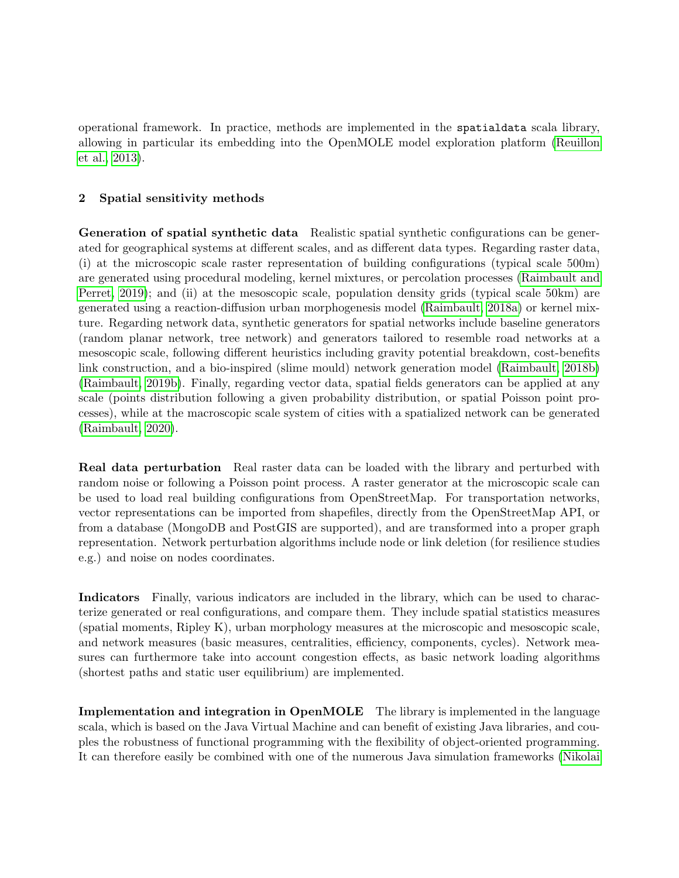operational framework. In practice, methods are implemented in the spatialdata scala library, allowing in particular its embedding into the OpenMOLE model exploration platform [\(Reuillon](#page-4-5) [et al., 2013\)](#page-4-5).

## 2 Spatial sensitivity methods

Generation of spatial synthetic data Realistic spatial synthetic configurations can be generated for geographical systems at different scales, and as different data types. Regarding raster data, (i) at the microscopic scale raster representation of building configurations (typical scale 500m) are generated using procedural modeling, kernel mixtures, or percolation processes [\(Raimbault and](#page-4-6) [Perret, 2019\)](#page-4-6); and (ii) at the mesoscopic scale, population density grids (typical scale 50km) are generated using a reaction-diffusion urban morphogenesis model [\(Raimbault, 2018a\)](#page-4-7) or kernel mixture. Regarding network data, synthetic generators for spatial networks include baseline generators (random planar network, tree network) and generators tailored to resemble road networks at a mesoscopic scale, following different heuristics including gravity potential breakdown, cost-benefits link construction, and a bio-inspired (slime mould) network generation model [\(Raimbault, 2018b\)](#page-4-8) [\(Raimbault, 2019b\)](#page-4-9). Finally, regarding vector data, spatial fields generators can be applied at any scale (points distribution following a given probability distribution, or spatial Poisson point processes), while at the macroscopic scale system of cities with a spatialized network can be generated [\(Raimbault, 2020\)](#page-4-10).

Real data perturbation Real raster data can be loaded with the library and perturbed with random noise or following a Poisson point process. A raster generator at the microscopic scale can be used to load real building configurations from OpenStreetMap. For transportation networks, vector representations can be imported from shapefiles, directly from the OpenStreetMap API, or from a database (MongoDB and PostGIS are supported), and are transformed into a proper graph representation. Network perturbation algorithms include node or link deletion (for resilience studies e.g.) and noise on nodes coordinates.

Indicators Finally, various indicators are included in the library, which can be used to characterize generated or real configurations, and compare them. They include spatial statistics measures (spatial moments, Ripley K), urban morphology measures at the microscopic and mesoscopic scale, and network measures (basic measures, centralities, efficiency, components, cycles). Network measures can furthermore take into account congestion effects, as basic network loading algorithms (shortest paths and static user equilibrium) are implemented.

Implementation and integration in OpenMOLE The library is implemented in the language scala, which is based on the Java Virtual Machine and can benefit of existing Java libraries, and couples the robustness of functional programming with the flexibility of object-oriented programming. It can therefore easily be combined with one of the numerous Java simulation frameworks [\(Nikolai](#page-3-7)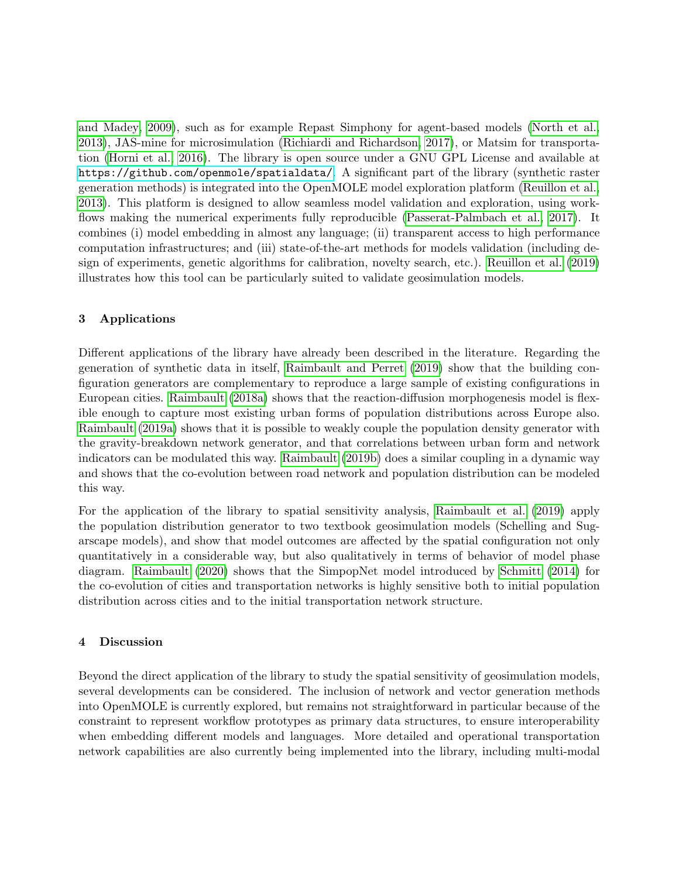[and Madey, 2009\)](#page-3-7), such as for example Repast Simphony for agent-based models [\(North et al.,](#page-3-8) [2013\)](#page-3-8), JAS-mine for microsimulation [\(Richiardi and Richardson, 2017\)](#page-4-11), or Matsim for transportation [\(Horni et al., 2016\)](#page-3-9). The library is open source under a GNU GPL License and available at <https://github.com/openmole/spatialdata/>. A significant part of the library (synthetic raster generation methods) is integrated into the OpenMOLE model exploration platform [\(Reuillon et al.,](#page-4-5) [2013\)](#page-4-5). This platform is designed to allow seamless model validation and exploration, using work-flows making the numerical experiments fully reproducible [\(Passerat-Palmbach et al., 2017\)](#page-3-10). It combines (i) model embedding in almost any language; (ii) transparent access to high performance computation infrastructures; and (iii) state-of-the-art methods for models validation (including design of experiments, genetic algorithms for calibration, novelty search, etc.). [Reuillon et al.](#page-4-12) [\(2019\)](#page-4-12) illustrates how this tool can be particularly suited to validate geosimulation models.

# 3 Applications

Different applications of the library have already been described in the literature. Regarding the generation of synthetic data in itself, [Raimbault and Perret](#page-4-6) [\(2019\)](#page-4-6) show that the building configuration generators are complementary to reproduce a large sample of existing configurations in European cities. [Raimbault](#page-4-7) [\(2018a\)](#page-4-7) shows that the reaction-diffusion morphogenesis model is flexible enough to capture most existing urban forms of population distributions across Europe also. [Raimbault](#page-4-13) [\(2019a\)](#page-4-13) shows that it is possible to weakly couple the population density generator with the gravity-breakdown network generator, and that correlations between urban form and network indicators can be modulated this way. [Raimbault](#page-4-9) [\(2019b\)](#page-4-9) does a similar coupling in a dynamic way and shows that the co-evolution between road network and population distribution can be modeled this way.

For the application of the library to spatial sensitivity analysis, [Raimbault et al.](#page-4-1) [\(2019\)](#page-4-1) apply the population distribution generator to two textbook geosimulation models (Schelling and Sugarscape models), and show that model outcomes are affected by the spatial configuration not only quantitatively in a considerable way, but also qualitatively in terms of behavior of model phase diagram. [Raimbault](#page-4-10) [\(2020\)](#page-4-10) shows that the SimpopNet model introduced by [Schmitt](#page-4-14) [\(2014\)](#page-4-14) for the co-evolution of cities and transportation networks is highly sensitive both to initial population distribution across cities and to the initial transportation network structure.

# 4 Discussion

Beyond the direct application of the library to study the spatial sensitivity of geosimulation models, several developments can be considered. The inclusion of network and vector generation methods into OpenMOLE is currently explored, but remains not straightforward in particular because of the constraint to represent workflow prototypes as primary data structures, to ensure interoperability when embedding different models and languages. More detailed and operational transportation network capabilities are also currently being implemented into the library, including multi-modal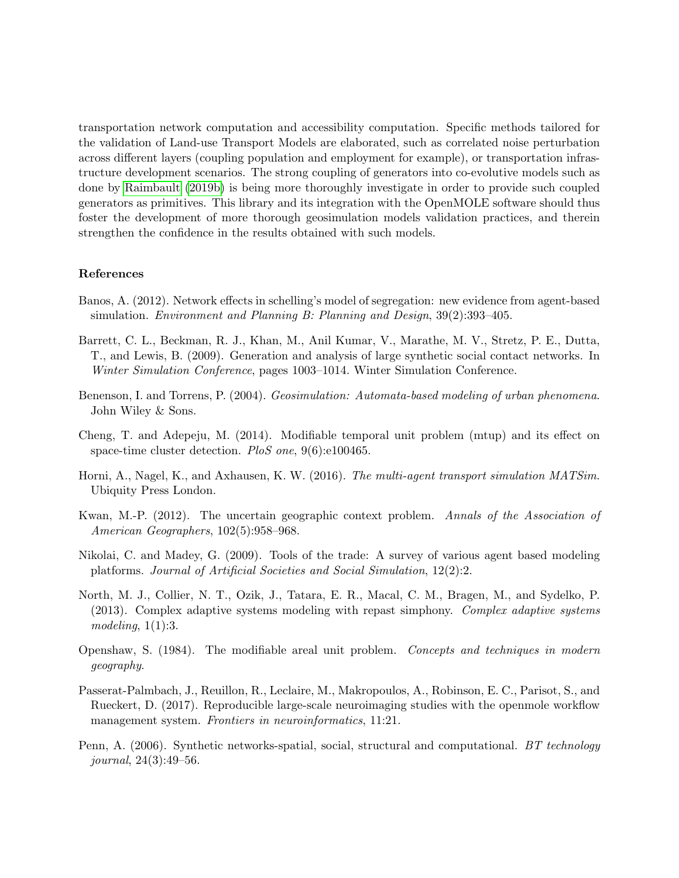transportation network computation and accessibility computation. Specific methods tailored for the validation of Land-use Transport Models are elaborated, such as correlated noise perturbation across different layers (coupling population and employment for example), or transportation infrastructure development scenarios. The strong coupling of generators into co-evolutive models such as done by [Raimbault](#page-4-9) [\(2019b\)](#page-4-9) is being more thoroughly investigate in order to provide such coupled generators as primitives. This library and its integration with the OpenMOLE software should thus foster the development of more thorough geosimulation models validation practices, and therein strengthen the confidence in the results obtained with such models.

### References

- <span id="page-3-4"></span>Banos, A. (2012). Network effects in schelling's model of segregation: new evidence from agent-based simulation. *Environment and Planning B: Planning and Design*,  $39(2):393-405$ .
- <span id="page-3-5"></span>Barrett, C. L., Beckman, R. J., Khan, M., Anil Kumar, V., Marathe, M. V., Stretz, P. E., Dutta, T., and Lewis, B. (2009). Generation and analysis of large synthetic social contact networks. In Winter Simulation Conference, pages 1003–1014. Winter Simulation Conference.
- <span id="page-3-3"></span>Benenson, I. and Torrens, P. (2004). Geosimulation: Automata-based modeling of urban phenomena. John Wiley & Sons.
- <span id="page-3-1"></span>Cheng, T. and Adepeju, M. (2014). Modifiable temporal unit problem (mtup) and its effect on space-time cluster detection. PloS one, 9(6):e100465.
- <span id="page-3-9"></span>Horni, A., Nagel, K., and Axhausen, K. W. (2016). The multi-agent transport simulation MATSim. Ubiquity Press London.
- <span id="page-3-2"></span>Kwan, M.-P. (2012). The uncertain geographic context problem. Annals of the Association of American Geographers, 102(5):958–968.
- <span id="page-3-7"></span>Nikolai, C. and Madey, G. (2009). Tools of the trade: A survey of various agent based modeling platforms. Journal of Artificial Societies and Social Simulation, 12(2):2.
- <span id="page-3-8"></span>North, M. J., Collier, N. T., Ozik, J., Tatara, E. R., Macal, C. M., Bragen, M., and Sydelko, P. (2013). Complex adaptive systems modeling with repast simphony. Complex adaptive systems modeling,  $1(1):3$ .
- <span id="page-3-0"></span>Openshaw, S. (1984). The modifiable areal unit problem. Concepts and techniques in modern geography.
- <span id="page-3-10"></span>Passerat-Palmbach, J., Reuillon, R., Leclaire, M., Makropoulos, A., Robinson, E. C., Parisot, S., and Rueckert, D. (2017). Reproducible large-scale neuroimaging studies with the openmole workflow management system. Frontiers in neuroinformatics, 11:21.
- <span id="page-3-6"></span>Penn, A. (2006). Synthetic networks-spatial, social, structural and computational. BT technology journal, 24(3):49–56.